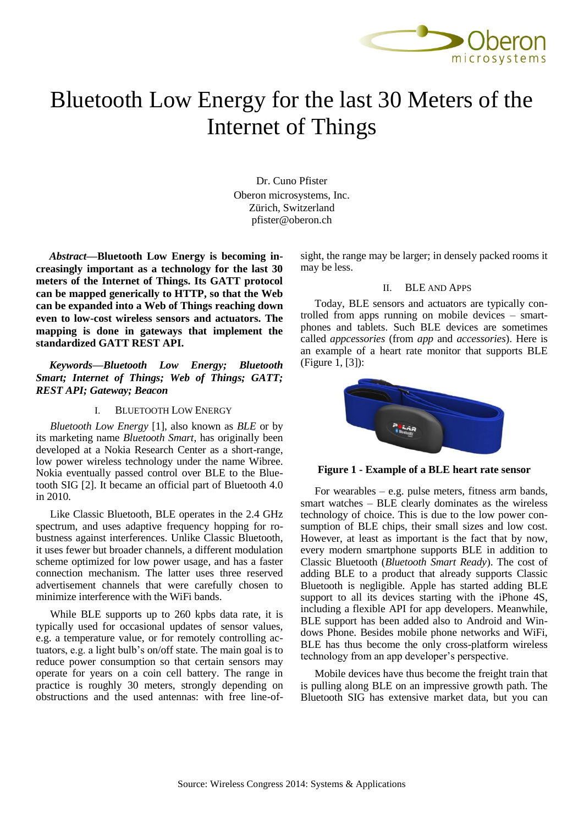

# Bluetooth Low Energy for the last 30 Meters of the Internet of Things

Dr. Cuno Pfister Oberon microsystems, Inc. Zürich, Switzerland pfister@oberon.ch

*Abstract***—Bluetooth Low Energy is becoming increasingly important as a technology for the last 30 meters of the Internet of Things. Its GATT protocol can be mapped generically to HTTP, so that the Web can be expanded into a Web of Things reaching down even to low-cost wireless sensors and actuators. The mapping is done in gateways that implement the standardized GATT REST API.**

*Keywords—Bluetooth Low Energy; Bluetooth Smart; Internet of Things; Web of Things; GATT; REST API; Gateway; Beacon*

#### I. BLUETOOTH LOW ENERGY

*Bluetooth Low Energy* [1], also known as *BLE* or by its marketing name *Bluetooth Smart*, has originally been developed at a Nokia Research Center as a short-range, low power wireless technology under the name Wibree. Nokia eventually passed control over BLE to the Bluetooth SIG [2]. It became an official part of Bluetooth 4.0 in 2010.

Like Classic Bluetooth, BLE operates in the 2.4 GHz spectrum, and uses adaptive frequency hopping for robustness against interferences. Unlike Classic Bluetooth, it uses fewer but broader channels, a different modulation scheme optimized for low power usage, and has a faster connection mechanism. The latter uses three reserved advertisement channels that were carefully chosen to minimize interference with the WiFi bands.

While BLE supports up to 260 kpbs data rate, it is typically used for occasional updates of sensor values, e.g. a temperature value, or for remotely controlling actuators, e.g. a light bulb's on/off state. The main goal is to reduce power consumption so that certain sensors may operate for years on a coin cell battery. The range in practice is roughly 30 meters, strongly depending on obstructions and the used antennas: with free line-ofsight, the range may be larger; in densely packed rooms it may be less.

## II. BLE AND APPS

Today, BLE sensors and actuators are typically controlled from apps running on mobile devices – smartphones and tablets. Such BLE devices are sometimes called *appcessories* (from *app* and *accessories*). Here is an example of a heart rate monitor that supports BLE [\(Figure 1,](#page-0-0) [3]):



<span id="page-0-0"></span>**Figure 1 - Example of a BLE heart rate sensor**

For wearables  $-$  e.g. pulse meters, fitness arm bands, smart watches – BLE clearly dominates as the wireless technology of choice. This is due to the low power consumption of BLE chips, their small sizes and low cost. However, at least as important is the fact that by now, every modern smartphone supports BLE in addition to Classic Bluetooth (*Bluetooth Smart Ready*). The cost of adding BLE to a product that already supports Classic Bluetooth is negligible. Apple has started adding BLE support to all its devices starting with the iPhone 4S, including a flexible API for app developers. Meanwhile, BLE support has been added also to Android and Windows Phone. Besides mobile phone networks and WiFi, BLE has thus become the only cross-platform wireless technology from an app developer's perspective.

Mobile devices have thus become the freight train that is pulling along BLE on an impressive growth path. The Bluetooth SIG has extensive market data, but you can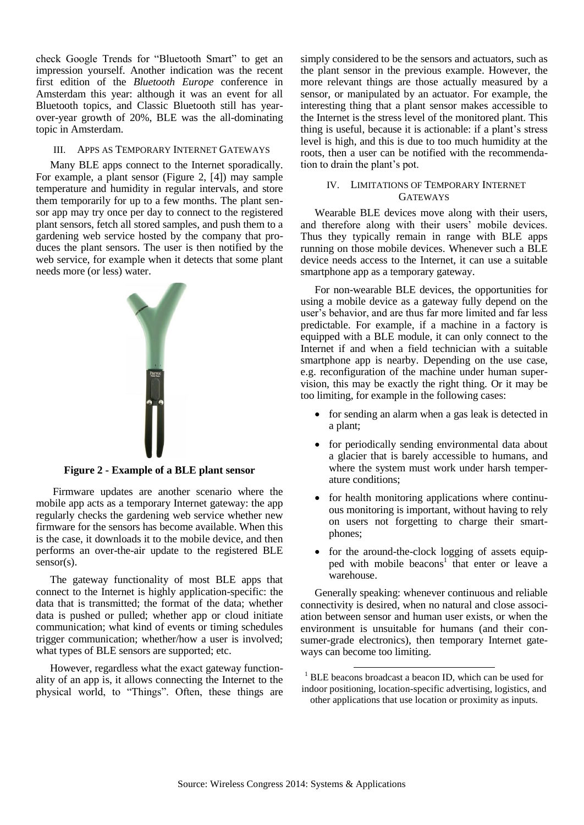check Google Trends for "Bluetooth Smart" to get an impression yourself. Another indication was the recent first edition of the *Bluetooth Europe* conference in Amsterdam this year: although it was an event for all Bluetooth topics, and Classic Bluetooth still has yearover-year growth of 20%, BLE was the all-dominating topic in Amsterdam.

## III. APPS AS TEMPORARY INTERNET GATEWAYS

Many BLE apps connect to the Internet sporadically. For example, a plant sensor [\(Figure 2,](#page-1-0) [4]) may sample temperature and humidity in regular intervals, and store them temporarily for up to a few months. The plant sensor app may try once per day to connect to the registered plant sensors, fetch all stored samples, and push them to a gardening web service hosted by the company that produces the plant sensors. The user is then notified by the web service, for example when it detects that some plant needs more (or less) water.



**Figure 2 - Example of a BLE plant sensor**

<span id="page-1-0"></span>Firmware updates are another scenario where the mobile app acts as a temporary Internet gateway: the app regularly checks the gardening web service whether new firmware for the sensors has become available. When this is the case, it downloads it to the mobile device, and then performs an over-the-air update to the registered BLE sensor(s).

The gateway functionality of most BLE apps that connect to the Internet is highly application-specific: the data that is transmitted; the format of the data; whether data is pushed or pulled; whether app or cloud initiate communication; what kind of events or timing schedules trigger communication; whether/how a user is involved; what types of BLE sensors are supported; etc.

However, regardless what the exact gateway functionality of an app is, it allows connecting the Internet to the physical world, to "Things". Often, these things are

simply considered to be the sensors and actuators, such as the plant sensor in the previous example. However, the more relevant things are those actually measured by a sensor, or manipulated by an actuator. For example, the interesting thing that a plant sensor makes accessible to the Internet is the stress level of the monitored plant. This thing is useful, because it is actionable: if a plant's stress level is high, and this is due to too much humidity at the roots, then a user can be notified with the recommendation to drain the plant's pot.

# IV. LIMITATIONS OF TEMPORARY INTERNET **GATEWAYS**

Wearable BLE devices move along with their users, and therefore along with their users' mobile devices. Thus they typically remain in range with BLE apps running on those mobile devices. Whenever such a BLE device needs access to the Internet, it can use a suitable smartphone app as a temporary gateway.

For non-wearable BLE devices, the opportunities for using a mobile device as a gateway fully depend on the user's behavior, and are thus far more limited and far less predictable. For example, if a machine in a factory is equipped with a BLE module, it can only connect to the Internet if and when a field technician with a suitable smartphone app is nearby. Depending on the use case, e.g. reconfiguration of the machine under human supervision, this may be exactly the right thing. Or it may be too limiting, for example in the following cases:

- for sending an alarm when a gas leak is detected in a plant;
- for periodically sending environmental data about a glacier that is barely accessible to humans, and where the system must work under harsh temperature conditions;
- for health monitoring applications where continuous monitoring is important, without having to rely on users not forgetting to charge their smartphones;
- for the around-the-clock logging of assets equipped with mobile beacons<sup>1</sup> that enter or leave a warehouse.

Generally speaking: whenever continuous and reliable connectivity is desired, when no natural and close association between sensor and human user exists, or when the environment is unsuitable for humans (and their consumer-grade electronics), then temporary Internet gateways can become too limiting.

1

<sup>&</sup>lt;sup>1</sup> BLE beacons broadcast a beacon ID, which can be used for indoor positioning, location-specific advertising, logistics, and other applications that use location or proximity as inputs.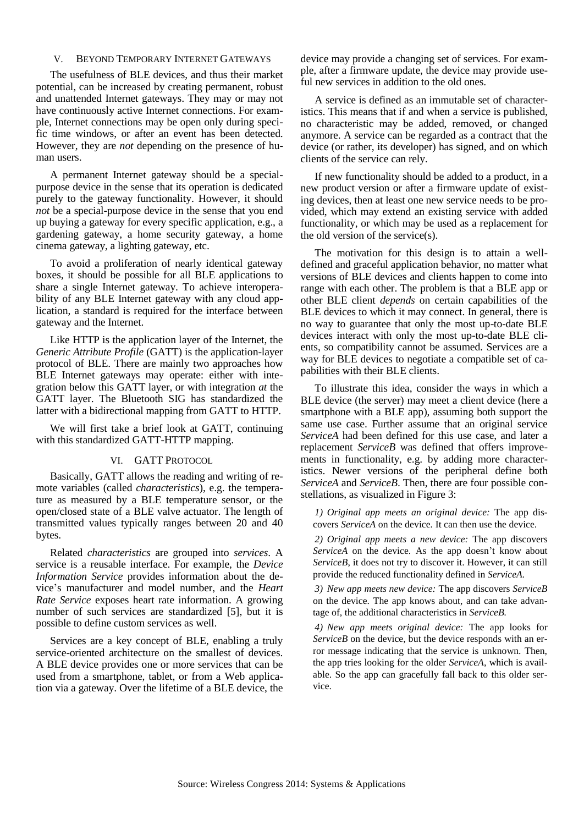## V. BEYOND TEMPORARY INTERNET GATEWAYS

The usefulness of BLE devices, and thus their market potential, can be increased by creating permanent, robust and unattended Internet gateways. They may or may not have continuously active Internet connections. For example, Internet connections may be open only during specific time windows, or after an event has been detected. However, they are *not* depending on the presence of human users.

A permanent Internet gateway should be a specialpurpose device in the sense that its operation is dedicated purely to the gateway functionality. However, it should *not* be a special-purpose device in the sense that you end up buying a gateway for every specific application, e.g., a gardening gateway, a home security gateway, a home cinema gateway, a lighting gateway, etc.

To avoid a proliferation of nearly identical gateway boxes, it should be possible for all BLE applications to share a single Internet gateway. To achieve interoperability of any BLE Internet gateway with any cloud application, a standard is required for the interface between gateway and the Internet.

Like HTTP is the application layer of the Internet, the *Generic Attribute Profile* (GATT) is the application-layer protocol of BLE. There are mainly two approaches how BLE Internet gateways may operate: either with integration below this GATT layer, or with integration *at* the GATT layer. The Bluetooth SIG has standardized the latter with a bidirectional mapping from GATT to HTTP.

We will first take a brief look at GATT, continuing with this standardized GATT-HTTP mapping.

### VI. GATT PROTOCOL

Basically, GATT allows the reading and writing of remote variables (called *characteristics*), e.g. the temperature as measured by a BLE temperature sensor, or the open/closed state of a BLE valve actuator. The length of transmitted values typically ranges between 20 and 40 bytes.

Related *characteristics* are grouped into *services*. A service is a reusable interface. For example, the *Device Information Service* provides information about the device's manufacturer and model number, and the *Heart Rate Service* exposes heart rate information. A growing number of such services are standardized [5], but it is possible to define custom services as well.

Services are a key concept of BLE, enabling a truly service-oriented architecture on the smallest of devices. A BLE device provides one or more services that can be used from a smartphone, tablet, or from a Web application via a gateway. Over the lifetime of a BLE device, the device may provide a changing set of services. For example, after a firmware update, the device may provide useful new services in addition to the old ones.

A service is defined as an immutable set of characteristics. This means that if and when a service is published, no characteristic may be added, removed, or changed anymore. A service can be regarded as a contract that the device (or rather, its developer) has signed, and on which clients of the service can rely.

If new functionality should be added to a product, in a new product version or after a firmware update of existing devices, then at least one new service needs to be provided, which may extend an existing service with added functionality, or which may be used as a replacement for the old version of the service(s).

The motivation for this design is to attain a welldefined and graceful application behavior, no matter what versions of BLE devices and clients happen to come into range with each other. The problem is that a BLE app or other BLE client *depends* on certain capabilities of the BLE devices to which it may connect. In general, there is no way to guarantee that only the most up-to-date BLE devices interact with only the most up-to-date BLE clients, so compatibility cannot be assumed. Services are a way for BLE devices to negotiate a compatible set of capabilities with their BLE clients.

To illustrate this idea, consider the ways in which a BLE device (the server) may meet a client device (here a smartphone with a BLE app), assuming both support the same use case. Further assume that an original service *ServiceA* had been defined for this use case, and later a replacement *ServiceB* was defined that offers improvements in functionality, e.g. by adding more characteristics. Newer versions of the peripheral define both *ServiceA* and *ServiceB*. Then, there are four possible constellations, as visualized in [Figure 3:](#page-3-0)

*1) Original app meets an original device:* The app discovers *ServiceA* on the device*.* It can then use the device.

*2) Original app meets a new device:* The app discovers *ServiceA* on the device. As the app doesn't know about *ServiceB*, it does not try to discover it. However, it can still provide the reduced functionality defined in *ServiceA.*

*3) New app meets new device:* The app discovers *ServiceB* on the device. The app knows about, and can take advantage of, the additional characteristics in *ServiceB.*

*4) New app meets original device:* The app looks for *ServiceB* on the device, but the device responds with an error message indicating that the service is unknown. Then, the app tries looking for the older *ServiceA*, which is available. So the app can gracefully fall back to this older service.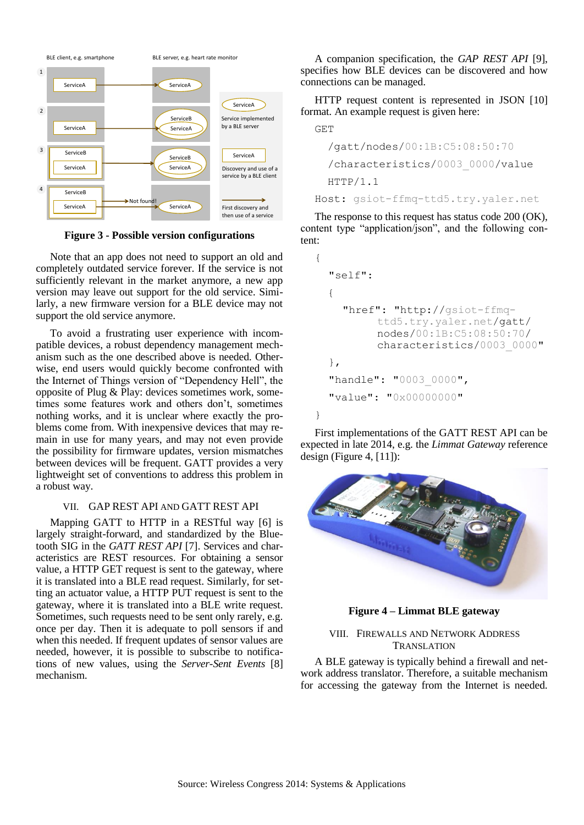

**Figure 3 - Possible version configurations**

<span id="page-3-0"></span>Note that an app does not need to support an old and completely outdated service forever. If the service is not sufficiently relevant in the market anymore, a new app version may leave out support for the old service. Similarly, a new firmware version for a BLE device may not support the old service anymore.

To avoid a frustrating user experience with incompatible devices, a robust dependency management mechanism such as the one described above is needed. Otherwise, end users would quickly become confronted with the Internet of Things version of "Dependency Hell", the opposite of Plug & Play: devices sometimes work, sometimes some features work and others don't, sometimes nothing works, and it is unclear where exactly the problems come from. With inexpensive devices that may remain in use for many years, and may not even provide the possibility for firmware updates, version mismatches between devices will be frequent. GATT provides a very lightweight set of conventions to address this problem in a robust way.

# VII. GAP REST API AND GATT REST API

Mapping GATT to HTTP in a RESTful way [6] is largely straight-forward, and standardized by the Bluetooth SIG in the *GATT REST API* [7]. Services and characteristics are REST resources. For obtaining a sensor value, a HTTP GET request is sent to the gateway, where it is translated into a BLE read request. Similarly, for setting an actuator value, a HTTP PUT request is sent to the gateway, where it is translated into a BLE write request. Sometimes, such requests need to be sent only rarely, e.g. once per day. Then it is adequate to poll sensors if and when this needed. If frequent updates of sensor values are needed, however, it is possible to subscribe to notifications of new values, using the *Server-Sent Events* [8] mechanism.

A companion specification, the *GAP REST API* [9], specifies how BLE devices can be discovered and how connections can be managed.

HTTP request content is represented in JSON [10] format. An example request is given here:

```
GET
```

```
 /gatt/nodes/00:1B:C5:08:50:70
```
 /characteristics/0003\_0000/value HTTP/1.1

Host: gsiot-ffmq-ttd5.try.yaler.net

The response to this request has status code 200 (OK), content type "application/json", and the following con-

```
tent:
{
  "self":
   {
     "href": "http://gsiot-ffmq-
           ttd5.try.yaler.net/gatt/
          nodes/00:1B:C5:08:50:70/
           characteristics/0003_0000"
  },
  "handle": "0003 0000",
  "value": "0x00000000"
}
```
First implementations of the GATT REST API can be expected in late 2014, e.g. the *Limmat Gateway* reference design [\(Figure 4,](#page-3-1)  $[11]$ ):



**Figure 4 – Limmat BLE gateway**

# <span id="page-3-1"></span>VIII. FIREWALLS AND NETWORK ADDRESS TRANSLATION

A BLE gateway is typically behind a firewall and network address translator. Therefore, a suitable mechanism for accessing the gateway from the Internet is needed.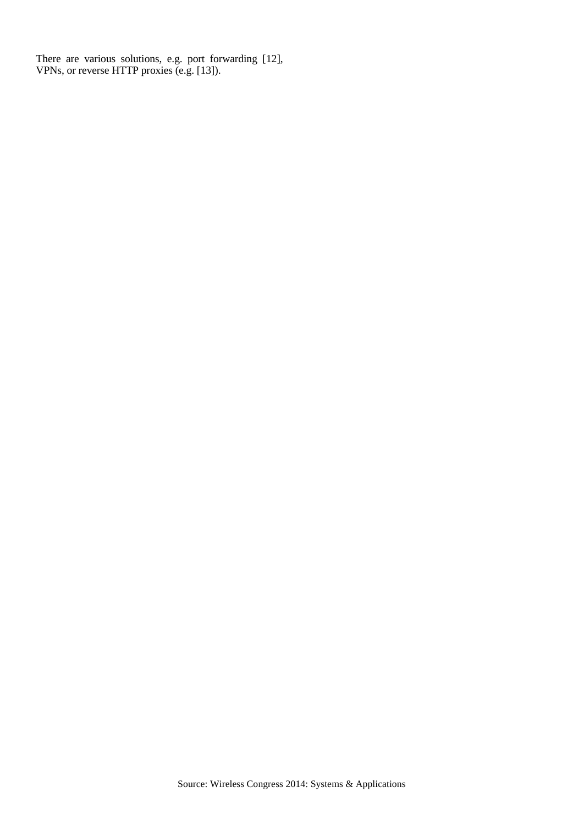There are various solutions, e.g. port forwarding [12], VPNs, or reverse HTTP proxies (e.g. [13]).